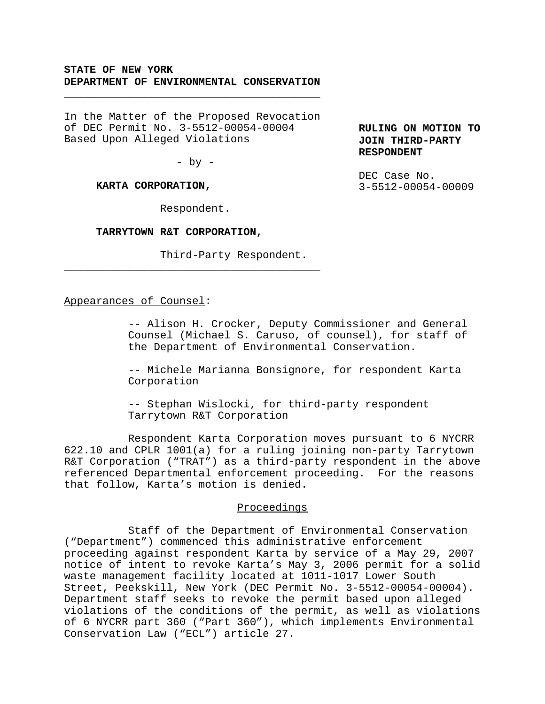# **STATE OF NEW YORK DEPARTMENT OF ENVIRONMENTAL CONSERVATION**

\_\_\_\_\_\_\_\_\_\_\_\_\_\_\_\_\_\_\_\_\_\_\_\_\_\_\_\_\_\_\_\_\_\_\_\_\_\_\_\_

In the Matter of the Proposed Revocation of DEC Permit No. 3-5512-00054-00004 Based Upon Alleged Violations

 $-$  by  $-$ 

**KARTA CORPORATION,**

Respondent.

\_\_\_\_\_\_\_\_\_\_\_\_\_\_\_\_\_\_\_\_\_\_\_\_\_\_\_\_\_\_\_\_\_\_\_\_\_\_\_\_

#### **TARRYTOWN R&T CORPORATION,**

Third-Party Respondent.

Appearances of Counsel:

-- Alison H. Crocker, Deputy Commissioner and General Counsel (Michael S. Caruso, of counsel), for staff of the Department of Environmental Conservation.

-- Michele Marianna Bonsignore, for respondent Karta Corporation

-- Stephan Wislocki, for third-party respondent Tarrytown R&T Corporation

Respondent Karta Corporation moves pursuant to 6 NYCRR 622.10 and CPLR 1001(a) for a ruling joining non-party Tarrytown R&T Corporation ("TRAT") as a third-party respondent in the above referenced Departmental enforcement proceeding. For the reasons that follow, Karta's motion is denied.

## Proceedings

Staff of the Department of Environmental Conservation ("Department") commenced this administrative enforcement proceeding against respondent Karta by service of a May 29, 2007 notice of intent to revoke Karta's May 3, 2006 permit for a solid waste management facility located at 1011-1017 Lower South Street, Peekskill, New York (DEC Permit No. 3-5512-00054-00004). Department staff seeks to revoke the permit based upon alleged violations of the conditions of the permit, as well as violations of 6 NYCRR part 360 ("Part 360"), which implements Environmental Conservation Law ("ECL") article 27.

**RULING ON MOTION TO JOIN THIRD-PARTY RESPONDENT**

DEC Case No. 3-5512-00054-00009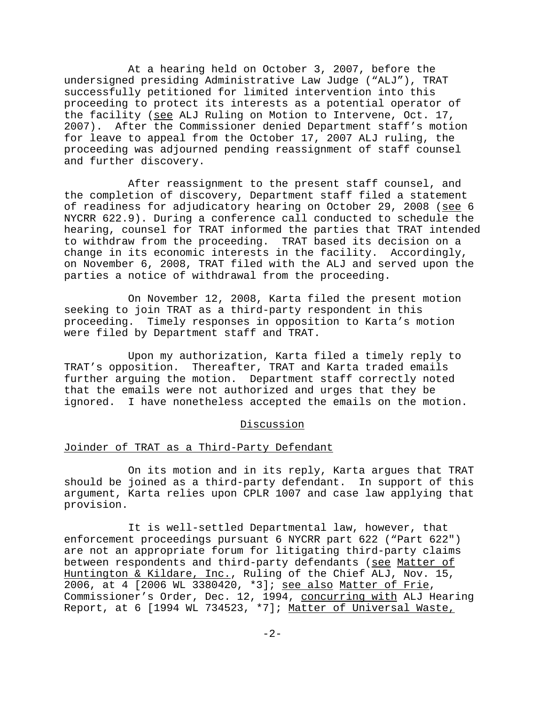At a hearing held on October 3, 2007, before the undersigned presiding Administrative Law Judge ("ALJ"), TRAT successfully petitioned for limited intervention into this proceeding to protect its interests as a potential operator of the facility (see ALJ Ruling on Motion to Intervene, Oct. 17, 2007). After the Commissioner denied Department staff's motion for leave to appeal from the October 17, 2007 ALJ ruling, the proceeding was adjourned pending reassignment of staff counsel and further discovery.

After reassignment to the present staff counsel, and the completion of discovery, Department staff filed a statement of readiness for adjudicatory hearing on October 29, 2008 (see 6 NYCRR 622.9). During a conference call conducted to schedule the hearing, counsel for TRAT informed the parties that TRAT intended to withdraw from the proceeding. TRAT based its decision on a change in its economic interests in the facility. Accordingly, on November 6, 2008, TRAT filed with the ALJ and served upon the parties a notice of withdrawal from the proceeding.

On November 12, 2008, Karta filed the present motion seeking to join TRAT as a third-party respondent in this proceeding. Timely responses in opposition to Karta's motion were filed by Department staff and TRAT.

Upon my authorization, Karta filed a timely reply to TRAT's opposition. Thereafter, TRAT and Karta traded emails further arguing the motion. Department staff correctly noted that the emails were not authorized and urges that they be ignored. I have nonetheless accepted the emails on the motion.

### Discussion

### Joinder of TRAT as a Third-Party Defendant

On its motion and in its reply, Karta argues that TRAT should be joined as a third-party defendant. In support of this argument, Karta relies upon CPLR 1007 and case law applying that provision.

It is well-settled Departmental law, however, that enforcement proceedings pursuant 6 NYCRR part 622 ("Part 622") are not an appropriate forum for litigating third-party claims between respondents and third-party defendants (see Matter of Huntington & Kildare, Inc., Ruling of the Chief ALJ, Nov. 15, 2006, at 4 [2006 WL 3380420, \*3]; see also Matter of Frie, Commissioner's Order, Dec. 12, 1994, concurring with ALJ Hearing Report, at 6 [1994 WL 734523, \*7]; Matter of Universal Waste,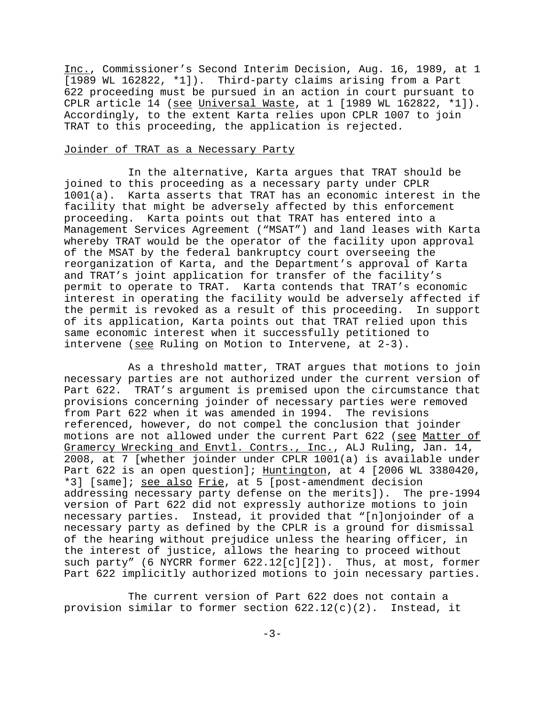Inc., Commissioner's Second Interim Decision, Aug. 16, 1989, at 1 [1989 WL 162822, \*1]). Third-party claims arising from a Part 622 proceeding must be pursued in an action in court pursuant to CPLR article 14 (see Universal Waste, at 1 [1989 WL 162822, \*1]). Accordingly, to the extent Karta relies upon CPLR 1007 to join TRAT to this proceeding, the application is rejected.

#### Joinder of TRAT as a Necessary Party

In the alternative, Karta argues that TRAT should be joined to this proceeding as a necessary party under CPLR 1001(a). Karta asserts that TRAT has an economic interest in the facility that might be adversely affected by this enforcement proceeding. Karta points out that TRAT has entered into a Management Services Agreement ("MSAT") and land leases with Karta whereby TRAT would be the operator of the facility upon approval of the MSAT by the federal bankruptcy court overseeing the reorganization of Karta, and the Department's approval of Karta and TRAT's joint application for transfer of the facility's permit to operate to TRAT. Karta contends that TRAT's economic interest in operating the facility would be adversely affected if the permit is revoked as a result of this proceeding. In support of its application, Karta points out that TRAT relied upon this same economic interest when it successfully petitioned to intervene (see Ruling on Motion to Intervene, at 2-3).

As a threshold matter, TRAT argues that motions to join necessary parties are not authorized under the current version of Part 622. TRAT's argument is premised upon the circumstance that provisions concerning joinder of necessary parties were removed from Part 622 when it was amended in 1994. The revisions referenced, however, do not compel the conclusion that joinder motions are not allowed under the current Part 622 (see Matter of Gramercy Wrecking and Envtl. Contrs., Inc., ALJ Ruling, Jan. 14, 2008, at 7 [whether joinder under CPLR 1001(a) is available under Part 622 is an open question]; Huntington, at 4 [2006 WL 3380420, \*3] [same]; see also Frie, at 5 [post-amendment decision addressing necessary party defense on the merits]). The pre-1994 version of Part 622 did not expressly authorize motions to join necessary parties. Instead, it provided that "[n]onjoinder of a necessary party as defined by the CPLR is a ground for dismissal of the hearing without prejudice unless the hearing officer, in the interest of justice, allows the hearing to proceed without such party" (6 NYCRR former 622.12[c][2]). Thus, at most, former Part 622 implicitly authorized motions to join necessary parties.

The current version of Part 622 does not contain a provision similar to former section  $622.12(c)(2)$ . Instead, it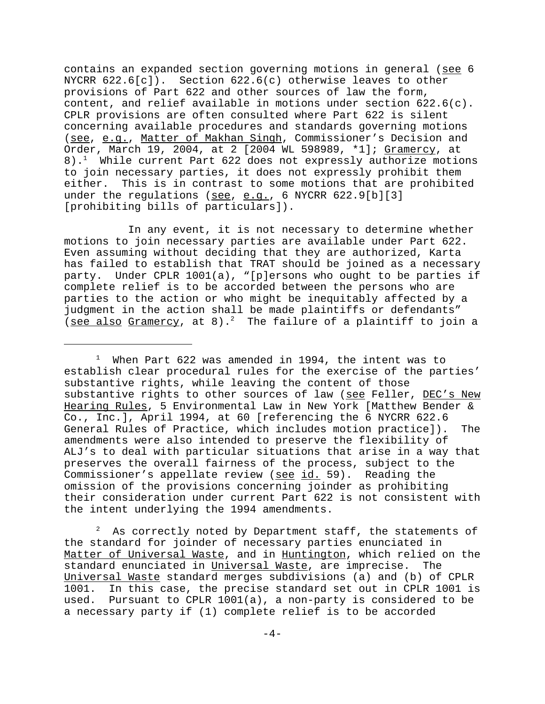contains an expanded section governing motions in general (see 6 NYCRR 622.6[c]). Section 622.6(c) otherwise leaves to other provisions of Part 622 and other sources of law the form, content, and relief available in motions under section  $622.6(c)$ . CPLR provisions are often consulted where Part 622 is silent concerning available procedures and standards governing motions (see, e.g., Matter of Makhan Singh, Commissioner's Decision and Order, March 19, 2004, at 2 [2004 WL 598989, \*1]; Gramercy, at  $8$ ).<sup>1</sup> While current Part 622 does not expressly authorize motions to join necessary parties, it does not expressly prohibit them either. This is in contrast to some motions that are prohibited under the regulations (see, e.g., 6 NYCRR  $622.9[b][3]$ [prohibiting bills of particulars]).

In any event, it is not necessary to determine whether motions to join necessary parties are available under Part 622. Even assuming without deciding that they are authorized, Karta has failed to establish that TRAT should be joined as a necessary party. Under CPLR 1001(a), "[p]ersons who ought to be parties if complete relief is to be accorded between the persons who are parties to the action or who might be inequitably affected by a judgment in the action shall be made plaintiffs or defendants" (see also Gramercy, at 8).<sup>2</sup> The failure of a plaintiff to join a

 $1$  When Part 622 was amended in 1994, the intent was to establish clear procedural rules for the exercise of the parties' substantive rights, while leaving the content of those substantive rights to other sources of law (see Feller, DEC's New Hearing Rules, 5 Environmental Law in New York [Matthew Bender & Co., Inc.], April 1994, at 60 [referencing the 6 NYCRR 622.6 General Rules of Practice, which includes motion practice]). The amendments were also intended to preserve the flexibility of ALJ's to deal with particular situations that arise in a way that preserves the overall fairness of the process, subject to the Commissioner's appellate review (see id. 59). Reading the omission of the provisions concerning joinder as prohibiting their consideration under current Part 622 is not consistent with the intent underlying the 1994 amendments.

2 As correctly noted by Department staff, the statements of the standard for joinder of necessary parties enunciated in Matter of Universal Waste, and in Huntington, which relied on the standard enunciated in Universal Waste, are imprecise. The Universal Waste standard merges subdivisions (a) and (b) of CPLR 1001. In this case, the precise standard set out in CPLR 1001 is used. Pursuant to CPLR 1001(a), a non-party is considered to be a necessary party if (1) complete relief is to be accorded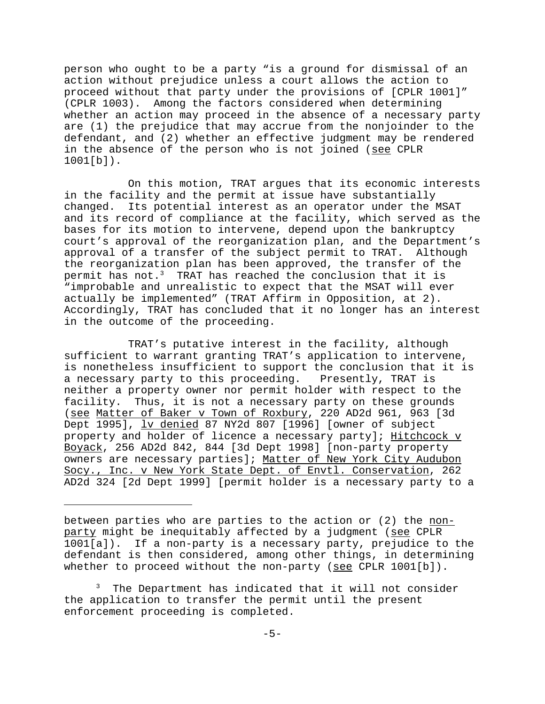person who ought to be a party "is a ground for dismissal of an action without prejudice unless a court allows the action to proceed without that party under the provisions of [CPLR 1001]" (CPLR 1003). Among the factors considered when determining whether an action may proceed in the absence of a necessary party are (1) the prejudice that may accrue from the nonjoinder to the defendant, and (2) whether an effective judgment may be rendered in the absence of the person who is not joined (see CPLR 1001[b]).

On this motion, TRAT argues that its economic interests in the facility and the permit at issue have substantially changed. Its potential interest as an operator under the MSAT and its record of compliance at the facility, which served as the bases for its motion to intervene, depend upon the bankruptcy court's approval of the reorganization plan, and the Department's approval of a transfer of the subject permit to TRAT. Although the reorganization plan has been approved, the transfer of the permit has not.<sup>3</sup> TRAT has reached the conclusion that it is "improbable and unrealistic to expect that the MSAT will ever actually be implemented" (TRAT Affirm in Opposition, at 2). Accordingly, TRAT has concluded that it no longer has an interest in the outcome of the proceeding.

TRAT's putative interest in the facility, although sufficient to warrant granting TRAT's application to intervene, is nonetheless insufficient to support the conclusion that it is a necessary party to this proceeding. Presently, TRAT is neither a property owner nor permit holder with respect to the facility. Thus, it is not a necessary party on these grounds (see Matter of Baker v Town of Roxbury, 220 AD2d 961, 963 [3d Dept 1995], lv denied 87 NY2d 807 [1996] [owner of subject property and holder of licence a necessary party]; Hitchcock v Boyack, 256 AD2d 842, 844 [3d Dept 1998] [non-party property owners are necessary parties]; Matter of New York City Audubon Socy., Inc. v New York State Dept. of Envtl. Conservation, 262 AD2d 324 [2d Dept 1999] [permit holder is a necessary party to a

between parties who are parties to the action or (2) the nonparty might be inequitably affected by a judgment (see CPLR 1001[a]). If a non-party is a necessary party, prejudice to the defendant is then considered, among other things, in determining whether to proceed without the non-party (see CPLR 1001[b]).

<sup>&</sup>lt;sup>3</sup> The Department has indicated that it will not consider the application to transfer the permit until the present enforcement proceeding is completed.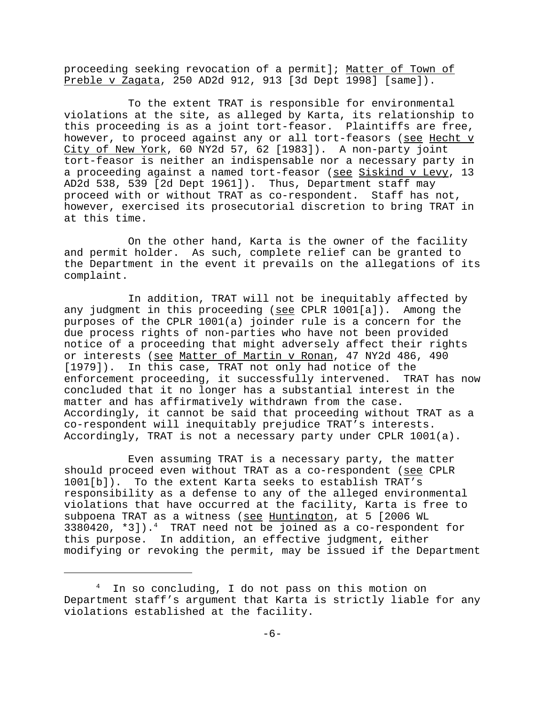proceeding seeking revocation of a permit]; Matter of Town of Preble v Zagata, 250 AD2d 912, 913 [3d Dept 1998] [same]).

To the extent TRAT is responsible for environmental violations at the site, as alleged by Karta, its relationship to this proceeding is as a joint tort-feasor. Plaintiffs are free, however, to proceed against any or all tort-feasors (see Hecht v City of New York, 60 NY2d 57, 62 [1983]). A non-party joint tort-feasor is neither an indispensable nor a necessary party in a proceeding against a named tort-feasor (see Siskind v Levy, 13 AD2d 538, 539 [2d Dept 1961]). Thus, Department staff may proceed with or without TRAT as co-respondent. Staff has not, however, exercised its prosecutorial discretion to bring TRAT in at this time.

On the other hand, Karta is the owner of the facility and permit holder. As such, complete relief can be granted to the Department in the event it prevails on the allegations of its complaint.

In addition, TRAT will not be inequitably affected by any judgment in this proceeding (see CPLR 1001[a]). Among the purposes of the CPLR 1001(a) joinder rule is a concern for the due process rights of non-parties who have not been provided notice of a proceeding that might adversely affect their rights or interests (see Matter of Martin v Ronan, 47 NY2d 486, 490 [1979]). In this case, TRAT not only had notice of the enforcement proceeding, it successfully intervened. TRAT has now concluded that it no longer has a substantial interest in the matter and has affirmatively withdrawn from the case. Accordingly, it cannot be said that proceeding without TRAT as a co-respondent will inequitably prejudice TRAT's interests. Accordingly, TRAT is not a necessary party under CPLR 1001(a).

Even assuming TRAT is a necessary party, the matter should proceed even without TRAT as a co-respondent (see CPLR 1001[b]). To the extent Karta seeks to establish TRAT's responsibility as a defense to any of the alleged environmental violations that have occurred at the facility, Karta is free to subpoena TRAT as a witness (see Huntington, at 5 [2006 WL 3380420,  $*3$ ]).<sup>4</sup> TRAT need not be joined as a co-respondent for this purpose. In addition, an effective judgment, either modifying or revoking the permit, may be issued if the Department

<sup>&</sup>lt;sup>4</sup> In so concluding, I do not pass on this motion on Department staff's argument that Karta is strictly liable for any violations established at the facility.